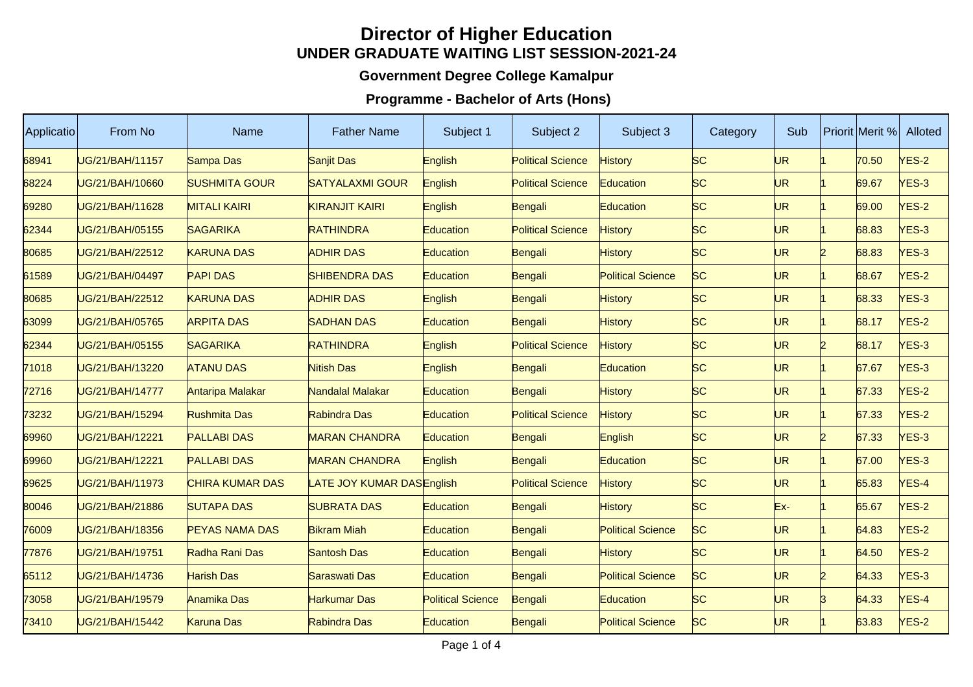## **Director of Higher EducationUNDER GRADUATE WAITING LIST SESSION-2021-24**

## **Government Degree College Kamalpur**

## **Programme - Bachelor of Arts (Hons)**

| <b>Applicatio</b> | From No         | Name                   | <b>Father Name</b>        | Subject 1                | Subject 2                | Subject 3                | Category  | Sub       | <b>Priorit Merit %</b> | Alloted      |
|-------------------|-----------------|------------------------|---------------------------|--------------------------|--------------------------|--------------------------|-----------|-----------|------------------------|--------------|
| 68941             | UG/21/BAH/11157 | Sampa Das              | <b>Sanjit Das</b>         | English                  | <b>Political Science</b> | <b>History</b>           | <b>SC</b> | UR        | 70.50                  | $VES-2$      |
| 68224             | UG/21/BAH/10660 | <b>SUSHMITA GOUR</b>   | <b>SATYALAXMI GOUR</b>    | <b>English</b>           | <b>Political Science</b> | Education                | <b>SC</b> | <b>UR</b> | 69.67                  | YES-3        |
| 69280             | UG/21/BAH/11628 | <b>MITALI KAIRI</b>    | <b>KIRANJIT KAIRI</b>     | English                  | Bengali                  | Education                | <b>SC</b> | <b>UR</b> | 69.00                  | <b>YES-2</b> |
| 62344             | UG/21/BAH/05155 | <b>SAGARIKA</b>        | <b>RATHINDRA</b>          | Education                | <b>Political Science</b> | <b>History</b>           | <b>SC</b> | <b>UR</b> | 68.83                  | $YES-3$      |
| 80685             | UG/21/BAH/22512 | <b>KARUNA DAS</b>      | <b>ADHIR DAS</b>          | Education                | Bengali                  | <b>History</b>           | <b>SC</b> | <b>UR</b> | 68.83                  | YES-3        |
| 61589             | UG/21/BAH/04497 | <b>PAPI DAS</b>        | <b>SHIBENDRA DAS</b>      | Education                | Bengali                  | <b>Political Science</b> | <b>SC</b> | <b>UR</b> | 68.67                  | <b>YES-2</b> |
| 80685             | UG/21/BAH/22512 | <b>KARUNA DAS</b>      | <b>ADHIR DAS</b>          | English                  | Bengali                  | <b>History</b>           | <b>SC</b> | <b>UR</b> | 68.33                  | YES-3        |
| 63099             | UG/21/BAH/05765 | <b>ARPITA DAS</b>      | <b>SADHAN DAS</b>         | Education                | Bengali                  | <b>History</b>           | <b>SC</b> | <b>UR</b> | 68.17                  | <b>YES-2</b> |
| 62344             | UG/21/BAH/05155 | <b>SAGARIKA</b>        | RATHINDRA                 | English                  | <b>Political Science</b> | <b>History</b>           | <b>SC</b> | <b>UR</b> | 68.17                  | YES-3        |
| 71018             | UG/21/BAH/13220 | <b>ATANU DAS</b>       | Nitish Das                | English                  | Bengali                  | Education                | <b>SC</b> | <b>UR</b> | 67.67                  | YES-3        |
| 72716             | UG/21/BAH/14777 | Antaripa Malakar       | Nandalal Malakar          | Education                | Bengali                  | <b>History</b>           | <b>SC</b> | <b>UR</b> | 67.33                  | $VES-2$      |
| 73232             | UG/21/BAH/15294 | <b>Rushmita Das</b>    | Rabindra Das              | Education                | <b>Political Science</b> | History                  | <b>SC</b> | <b>UR</b> | 67.33                  | <b>YES-2</b> |
| 69960             | UG/21/BAH/12221 | <b>PALLABI DAS</b>     | <b>MARAN CHANDRA</b>      | Education                | Bengali                  | English                  | <b>SC</b> | <b>UR</b> | 67.33                  | YES-3        |
| 69960             | UG/21/BAH/12221 | <b>PALLABI DAS</b>     | <b>MARAN CHANDRA</b>      | English                  | Bengali                  | Education                | <b>SC</b> | <b>UR</b> | 67.00                  | $VES-3$      |
| 69625             | UG/21/BAH/11973 | <b>CHIRA KUMAR DAS</b> | LATE JOY KUMAR DASEnglish |                          | <b>Political Science</b> | <b>History</b>           | <b>SC</b> | <b>UR</b> | 65.83                  | YES-4        |
| 80046             | UG/21/BAH/21886 | <b>SUTAPA DAS</b>      | <b>SUBRATA DAS</b>        | Education                | Bengali                  | <b>History</b>           | <b>SC</b> | Ex-       | 65.67                  | <b>YES-2</b> |
| 76009             | UG/21/BAH/18356 | <b>PEYAS NAMA DAS</b>  | <b>Bikram Miah</b>        | Education                | Bengali                  | <b>Political Science</b> | <b>SC</b> | <b>UR</b> | 64.83                  | <b>YES-2</b> |
| 77876             | UG/21/BAH/19751 | Radha Rani Das         | Santosh Das               | Education                | Bengali                  | <b>History</b>           | <b>SC</b> | <b>UR</b> | 64.50                  | <b>YES-2</b> |
| 65112             | UG/21/BAH/14736 | <b>Harish Das</b>      | Saraswati Das             | Education                | Bengali                  | <b>Political Science</b> | <b>SC</b> | <b>UR</b> | 64.33                  | YES-3        |
| 73058             | UG/21/BAH/19579 | Anamika Das            | Harkumar Das              | <b>Political Science</b> | Bengali                  | Education                | <b>SC</b> | UR        | 64.33                  | YES-4        |
| 73410             | UG/21/BAH/15442 | <b>Karuna Das</b>      | Rabindra Das              | Education                | Bengali                  | <b>Political Science</b> | <b>SC</b> | <b>UR</b> | 63.83                  | $VES-2$      |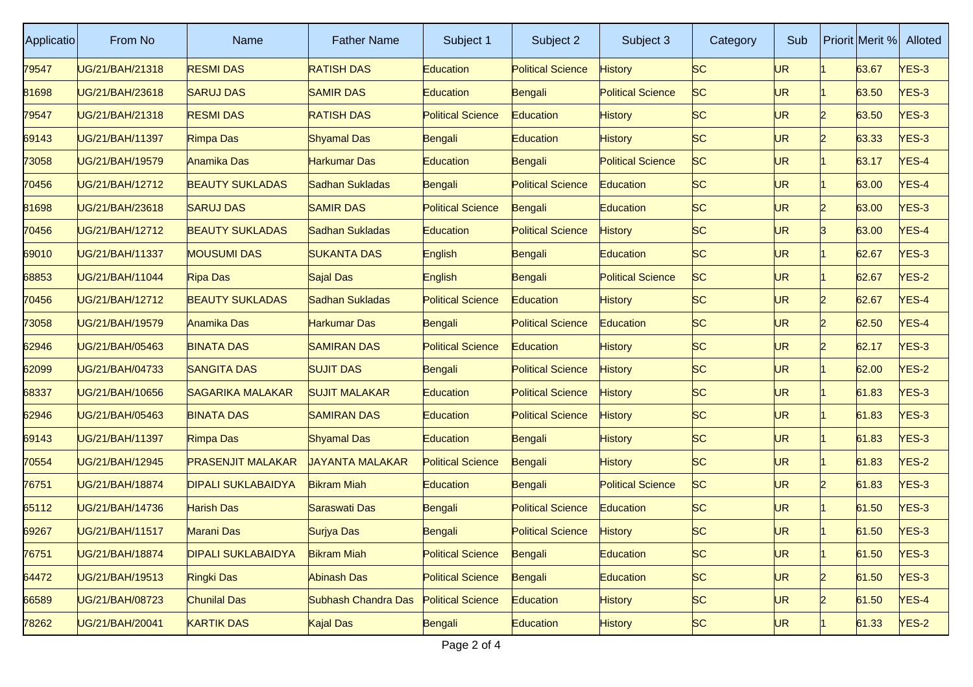| Applicatio | From No         | <b>Name</b>               | <b>Father Name</b>     | Subject 1                | Subject 2                | Subject 3                | Category  | Sub       |    | Priorit Merit % | Alloted |
|------------|-----------------|---------------------------|------------------------|--------------------------|--------------------------|--------------------------|-----------|-----------|----|-----------------|---------|
| 79547      | UG/21/BAH/21318 | <b>RESMI DAS</b>          | <b>RATISH DAS</b>      | Education                | <b>Political Science</b> | <b>History</b>           | <b>SC</b> | UR        |    | 63.67           | $VES-3$ |
| 81698      | UG/21/BAH/23618 | <b>SARUJ DAS</b>          | <b>SAMIR DAS</b>       | <b>Education</b>         | Bengali                  | <b>Political Science</b> | <b>SC</b> | UR        |    | 63.50           | YES-3   |
| 79547      | UG/21/BAH/21318 | <b>RESMI DAS</b>          | <b>RATISH DAS</b>      | <b>Political Science</b> | Education                | <b>History</b>           | <b>SC</b> | UR        |    | 63.50           | YES-3   |
| 69143      | UG/21/BAH/11397 | Rimpa Das                 | <b>Shyamal Das</b>     | Bengali                  | Education                | <b>History</b>           | <b>SC</b> | UR.       |    | 63.33           | $VES-3$ |
| 73058      | UG/21/BAH/19579 | Anamika Das               | Harkumar Das           | Education                | Bengali                  | <b>Political Science</b> | <b>SC</b> | UR        |    | 63.17           | YES-4   |
| 70456      | UG/21/BAH/12712 | <b>BEAUTY SUKLADAS</b>    | Sadhan Sukladas        | Bengali                  | <b>Political Science</b> | Education                | <b>SC</b> | UR        |    | 63.00           | YES-4   |
| 81698      | UG/21/BAH/23618 | <b>SARUJ DAS</b>          | <b>SAMIR DAS</b>       | <b>Political Science</b> | Bengali                  | <b>Education</b>         | <b>SC</b> | UR.       | 12 | 63.00           | $VES-3$ |
| 70456      | JG/21/BAH/12712 | <b>BEAUTY SUKLADAS</b>    | Sadhan Sukladas        | Education                | <b>Political Science</b> | History                  | SC        | UR        | R  | 63.00           | YES-4   |
| 69010      | UG/21/BAH/11337 | <b>MOUSUMI DAS</b>        | <b>SUKANTA DAS</b>     | English                  | Bengali                  | <b>Education</b>         | <b>SC</b> | UR        |    | 62.67           | YES-3   |
| 68853      | UG/21/BAH/11044 | Ripa Das                  | Sajal Das              | English                  | Bengali                  | <b>Political Science</b> | SC        | UR.       |    | 62.67           | $VES-2$ |
| 70456      | UG/21/BAH/12712 | <b>BEAUTY SUKLADAS</b>    | Sadhan Sukladas        | <b>Political Science</b> | Education                | History                  | SC        | UR        | 12 | 62.67           | YES-4   |
| 73058      | UG/21/BAH/19579 | Anamika Das               | Harkumar Das           | Bengali                  | <b>Political Science</b> | <b>Education</b>         | <b>SC</b> | UR        |    | 62.50           | YES-4   |
| 62946      | UG/21/BAH/05463 | <b>BINATA DAS</b>         | <b>SAMIRAN DAS</b>     | <b>Political Science</b> | Education                | History                  | <b>SC</b> | UR.       |    | 62.17           | $NES-3$ |
| 62099      | UG/21/BAH/04733 | <b>SANGITA DAS</b>        | <b>SUJIT DAS</b>       | Bengali                  | <b>Political Science</b> | History                  | <b>SC</b> | UR        |    | 62.00           | $NES-2$ |
| 68337      | UG/21/BAH/10656 | <b>SAGARIKA MALAKAR</b>   | <b>SUJIT MALAKAR</b>   | Education                | <b>Political Science</b> | <b>History</b>           | <b>SC</b> | UR        |    | 61.83           | YES-3   |
| 62946      | UG/21/BAH/05463 | <b>BINATA DAS</b>         | <b>SAMIRAN DAS</b>     | Education                | <b>Political Science</b> | <b>History</b>           | <b>SC</b> | UR        |    | 61.83           | $NES-3$ |
| 69143      | UG/21/BAH/11397 | Rimpa Das                 | <b>Shyamal Das</b>     | Education                | Bengali                  | History                  | <b>SC</b> | UR        |    | 61.83           | YES-3   |
| 70554      | UG/21/BAH/12945 | <b>PRASENJIT MALAKAR</b>  | <b>JAYANTA MALAKAR</b> | <b>Political Science</b> | Bengali                  | <b>History</b>           | <b>SC</b> | <b>UR</b> |    | 61.83           | $NES-2$ |
| 76751      | UG/21/BAH/18874 | <b>DIPALI SUKLABAIDYA</b> | <b>Bikram Miah</b>     | Education                | Bengali                  | <b>Political Science</b> | SC        | UR        |    | 61.83           | $NES-3$ |
| 65112      | UG/21/BAH/14736 | Harish Das                | Saraswati Das          | Bengali                  | <b>Political Science</b> | <b>Education</b>         | <b>SC</b> | UR        |    | 61.50           | $NES-3$ |
| 69267      | UG/21/BAH/11517 | <b>Marani Das</b>         | Surjya Das             | Bengali                  | <b>Political Science</b> | <b>History</b>           | <b>SC</b> | UR        |    | 61.50           | YES-3   |
| 76751      | UG/21/BAH/18874 | <b>DIPALI SUKLABAIDYA</b> | <b>Bikram Miah</b>     | <b>Political Science</b> | Bengali                  | Education                | SC        | UR.       |    | 61.50           | $YES-3$ |
| 64472      | UG/21/BAH/19513 | Ringki Das                | Abinash Das            | <b>Political Science</b> | Bengali                  | Education                | SC        | UR.       | 2  | 61.50           | $YES-3$ |
| 66589      | UG/21/BAH/08723 | <b>Chunilal Das</b>       | Subhash Chandra Das    | <b>Political Science</b> | Education                | History                  | SC        | UR.       |    | 61.50           | YES-4   |
| 78262      | UG/21/BAH/20041 | <b>KARTIK DAS</b>         | Kajal Das              | Bengali                  | Education                | <b>History</b>           | SC        | UR.       |    | 61.33           | $YES-2$ |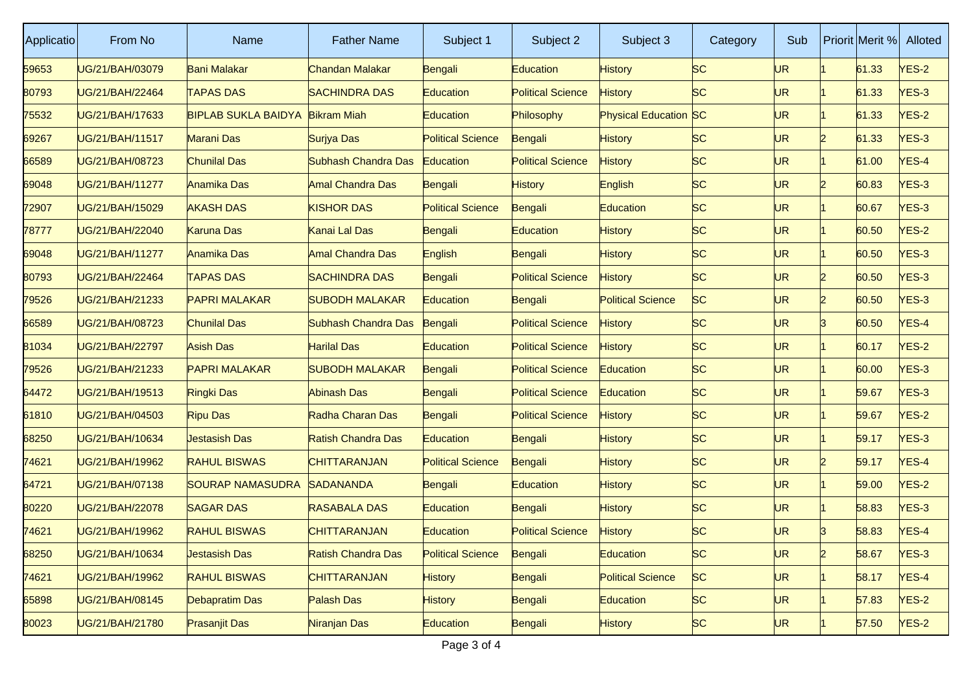| Applicatio | From No         | <b>Name</b>                | <b>Father Name</b>        | Subject 1                | Subject 2                | Subject 3                | Category  | Sub |                | Priorit Merit % | Alloted |
|------------|-----------------|----------------------------|---------------------------|--------------------------|--------------------------|--------------------------|-----------|-----|----------------|-----------------|---------|
| 59653      | UG/21/BAH/03079 | Bani Malakar               | Chandan Malakar           | Bengali                  | Education                | History                  | <b>SC</b> | UR  |                | 61.33           | $NES-2$ |
| 80793      | UG/21/BAH/22464 | <b>TAPAS DAS</b>           | <b>SACHINDRA DAS</b>      | Education                | <b>Political Science</b> | <b>History</b>           | <b>SC</b> | UR  |                | 61.33           | YES-3   |
| 75532      | UG/21/BAH/17633 | <b>BIPLAB SUKLA BAIDYA</b> | <b>Bikram Miah</b>        | Education                | Philosophy               | Physical Education SC    |           | UR  |                | 61.33           | $NES-2$ |
| 69267      | UG/21/BAH/11517 | <b>Marani Das</b>          | Surjya Das                | <b>Political Science</b> | Bengali                  | History                  | <b>SC</b> | UR. |                | 61.33           | $NES-3$ |
| 66589      | JG/21/BAH/08723 | <b>Chunilal Das</b>        | Subhash Chandra Das       | Education                | <b>Political Science</b> | History                  | SC        | UR  |                | 61.00           | YES-4   |
| 69048      | UG/21/BAH/11277 | Anamika Das                | <b>Amal Chandra Das</b>   | Bengali                  | <b>History</b>           | English                  | <b>SC</b> | UR  |                | 60.83           | YES-3   |
| 72907      | UG/21/BAH/15029 | <b>AKASH DAS</b>           | <b>KISHOR DAS</b>         | <b>Political Science</b> | Bengali                  | Education                | <b>SC</b> | UR. |                | 60.67           | $VES-3$ |
| 78777      | UG/21/BAH/22040 | <b>Karuna Das</b>          | Kanai Lal Das             | Bengali                  | Education                | History                  | SC        | UR  |                | 60.50           | $NES-2$ |
| 69048      | UG/21/BAH/11277 | Anamika Das                | <b>Amal Chandra Das</b>   | English                  | Bengali                  | <b>History</b>           | <b>SC</b> | UR  |                | 60.50           | YES-3   |
| 80793      | UG/21/BAH/22464 | <b>TAPAS DAS</b>           | <b>SACHINDRA DAS</b>      | Bengali                  | <b>Political Science</b> | <b>History</b>           | <b>SC</b> | UR. | 12             | 60.50           | $VES-3$ |
| 79526      | JG/21/BAH/21233 | <b>PAPRI MALAKAR</b>       | <b>SUBODH MALAKAR</b>     | Education                | Bengali                  | <b>Political Science</b> | <b>SC</b> | UR  | 12             | 60.50           | YES-3   |
| 66589      | UG/21/BAH/08723 | Chunilal Das               | Subhash Chandra Das       | Bengali                  | <b>Political Science</b> | <b>History</b>           | <b>SC</b> | UR  |                | 60.50           | YES-4   |
| 81034      | UG/21/BAH/22797 | <b>Asish Das</b>           | <b>Harilal Das</b>        | Education                | <b>Political Science</b> | <b>History</b>           | <b>SC</b> | UR. |                | 60.17           | $YES-2$ |
| 79526      | JG/21/BAH/21233 | <b>PAPRI MALAKAR</b>       | <b>SUBODH MALAKAR</b>     | Bengali                  | <b>Political Science</b> | Education                | <b>SC</b> | UR  |                | 60.00           | YES-3   |
| 64472      | UG/21/BAH/19513 | Ringki Das                 | Abinash Das               | Bengali                  | <b>Political Science</b> | Education                | <b>SC</b> | UR  |                | 59.67           | YES-3   |
| 61810      | UG/21/BAH/04503 | <b>Ripu Das</b>            | Radha Charan Das          | Bengali                  | <b>Political Science</b> | <b>History</b>           | <b>SC</b> | UR  |                | 59.67           | $YES-2$ |
| 68250      | UG/21/BAH/10634 | <b>Jestasish Das</b>       | <b>Ratish Chandra Das</b> | Education                | Bengali                  | History                  | <b>SC</b> | UR  |                | 59.17           | YES-3   |
| 74621      | UG/21/BAH/19962 | <b>RAHUL BISWAS</b>        | CHITTARANJAN              | <b>Political Science</b> | Bengali                  | <b>History</b>           | <b>SC</b> | UR  |                | 59.17           | YES-4   |
| 64721      | UG/21/BAH/07138 | <b>SOURAP NAMASUDRA</b>    | SADANANDA                 | Bengali                  | Education                | <b>History</b>           | <b>SC</b> | UR  |                | 59.00           | $YES-2$ |
| 80220      | UG/21/BAH/22078 | <b>SAGAR DAS</b>           | <b>RASABALA DAS</b>       | Education                | Bengali                  | History                  | <b>SC</b> | UR  |                | 58.83           | $NES-3$ |
| 74621      | UG/21/BAH/19962 | <b>RAHUL BISWAS</b>        | CHITTARANJAN              | Education                | <b>Political Science</b> | <b>History</b>           | <b>SC</b> | UR  |                | 58.83           | YES-4   |
| 68250      | UG/21/BAH/10634 | <b>Jestasish Das</b>       | Ratish Chandra Das        | <b>Political Science</b> | Bengali                  | Education                | SC        | UR. | $\overline{2}$ | 58.67           | $YES-3$ |
| 74621      | UG/21/BAH/19962 | <b>RAHUL BISWAS</b>        | <b>CHITTARANJAN</b>       | History                  | Bengali                  | <b>Political Science</b> | SC        | UR. |                | 58.17           | $YES-4$ |
| 65898      | UG/21/BAH/08145 | Debapratim Das             | Palash Das                | History                  | Bengali                  | Education                | SC        | UR. |                | 57.83           | $YES-2$ |
| 80023      | UG/21/BAH/21780 | <b>Prasanjit Das</b>       | Niranjan Das              | <b>Education</b>         | Bengali                  | <b>History</b>           | SC        | UR. |                | 57.50           | $YES-2$ |